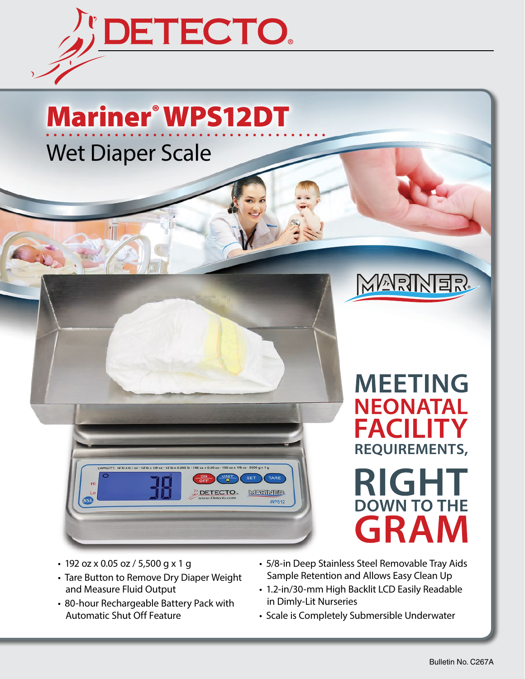

# Mariner® WPS12DT Wet Diaper Scale

**DETECTO KAEIMEN** WPS<sub>12</sub>



# **MEETING NEONATAL FACILITY REQUIREMENTS, RIGH DOWN TO THE GRA**

- 192 oz x 0.05 oz / 5,500 g x 1 g
- Tare Button to Remove Dry Diaper Weight and Measure Fluid Output
- 80-hour Rechargeable Battery Pack with Automatic Shut Off Feature
- 5/8-in Deep Stainless Steel Removable Tray Aids Sample Retention and Allows Easy Clean Up
- 1.2-in/30-mm High Backlit LCD Easily Readable in Dimly-Lit Nurseries
- Scale is Completely Submersible Underwater